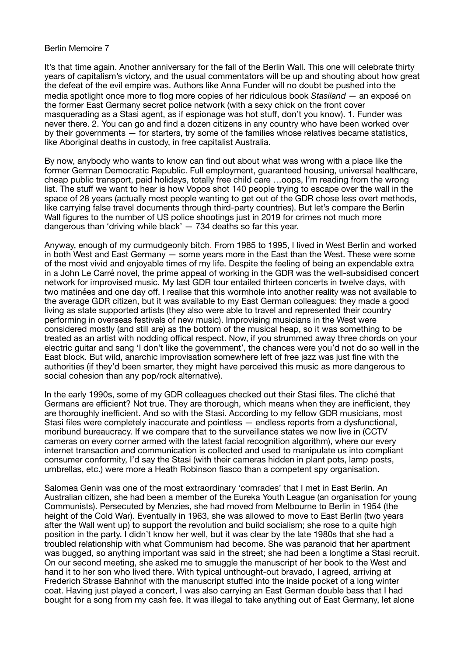## Berlin Memoire 7

It's that time again. Another anniversary for the fall of the Berlin Wall. This one will celebrate thirty years of capitalism's victory, and the usual commentators will be up and shouting about how great the defeat of the evil empire was. Authors like Anna Funder will no doubt be pushed into the media spotlight once more to flog more copies of her ridiculous book *Stasiland* — an exposé on the former East Germany secret police network (with a sexy chick on the front cover masquerading as a Stasi agent, as if espionage was hot stuff, don't you know). 1. Funder was never there. 2. You can go and find a dozen citizens in any country who have been worked over by their governments — for starters, try some of the families whose relatives became statistics, like Aboriginal deaths in custody, in free capitalist Australia.

By now, anybody who wants to know can find out about what was wrong with a place like the former German Democratic Republic. Full employment, guaranteed housing, universal healthcare, cheap public transport, paid holidays, totally free child care …oops, I'm reading from the wrong list. The stuff we want to hear is how Vopos shot 140 people trying to escape over the wall in the space of 28 years (actually most people wanting to get out of the GDR chose less overt methods, like carrying false travel documents through third-party countries). But let's compare the Berlin Wall figures to the number of US police shootings just in 2019 for crimes not much more dangerous than 'driving while black' — 734 deaths so far this year.

Anyway, enough of my curmudgeonly bitch. From 1985 to 1995, I lived in West Berlin and worked in both West and East Germany — some years more in the East than the West. These were some of the most vivid and enjoyable times of my life. Despite the feeling of being an expendable extra in a John Le Carré novel, the prime appeal of working in the GDR was the well-subsidised concert network for improvised music. My last GDR tour entailed thirteen concerts in twelve days, with two matinées and one day off. I realise that this wormhole into another reality was not available to the average GDR citizen, but it was available to my East German colleagues: they made a good living as state supported artists (they also were able to travel and represented their country performing in overseas festivals of new music). Improvising musicians in the West were considered mostly (and still are) as the bottom of the musical heap, so it was something to be treated as an artist with nodding offical respect. Now, if you strummed away three chords on your electric guitar and sang 'I don't like the government', the chances were you'd not do so well in the East block. But wild, anarchic improvisation somewhere left of free jazz was just fine with the authorities (if they'd been smarter, they might have perceived this music as more dangerous to social cohesion than any pop/rock alternative).

In the early 1990s, some of my GDR colleagues checked out their Stasi files. The cliché that Germans are efficient? Not true. They are thorough, which means when they are inefficient, they are thoroughly inefficient. And so with the Stasi. According to my fellow GDR musicians, most Stasi files were completely inaccurate and pointless — endless reports from a dysfunctional, moribund bureaucracy. If we compare that to the surveillance states we now live in (CCTV cameras on every corner armed with the latest facial recognition algorithm), where our every internet transaction and communication is collected and used to manipulate us into compliant consumer conformity, I'd say the Stasi (with their cameras hidden in plant pots, lamp posts, umbrellas, etc.) were more a Heath Robinson fiasco than a competent spy organisation.

Salomea Genin was one of the most extraordinary 'comrades' that I met in East Berlin. An Australian citizen, she had been a member of the Eureka Youth League (an organisation for young Communists). Persecuted by Menzies, she had moved from Melbourne to Berlin in 1954 (the height of the Cold War). Eventually in 1963, she was allowed to move to East Berlin (two years after the Wall went up) to support the revolution and build socialism; she rose to a quite high position in the party. I didn't know her well, but it was clear by the late 1980s that she had a troubled relationship with what Communism had become. She was paranoid that her apartment was bugged, so anything important was said in the street; she had been a longtime a Stasi recruit. On our second meeting, she asked me to smuggle the manuscript of her book to the West and hand it to her son who lived there. With typical unthought-out bravado, I agreed, arriving at Frederich Strasse Bahnhof with the manuscript stuffed into the inside pocket of a long winter coat. Having just played a concert, I was also carrying an East German double bass that I had bought for a song from my cash fee. It was illegal to take anything out of East Germany, let alone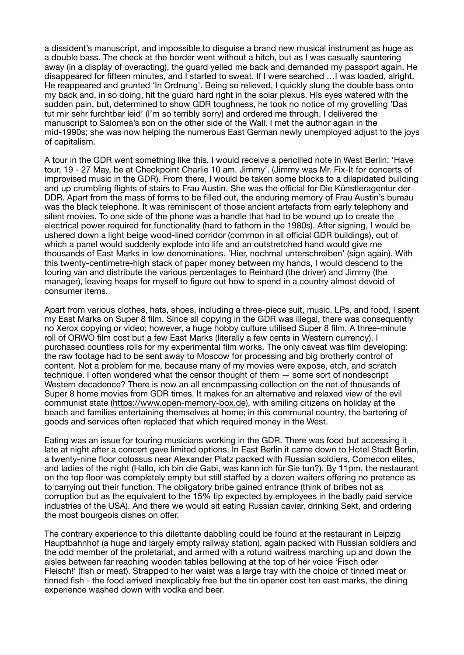a dissident's manuscript, and impossible to disguise a brand new musical instrument as huge as a double bass. The check at the border went without a hitch, but as I was casually sauntering away (in a display of overacting), the guard yelled me back and demanded my passport again. He disappeared for fifteen minutes, and I started to sweat. If I were searched …I was loaded, alright. He reappeared and grunted 'In Ordnung'. Being so relieved, I quickly slung the double bass onto my back and, in so doing, hit the guard hard right in the solar plexus. His eyes watered with the sudden pain, but, determined to show GDR toughness, he took no notice of my grovelling 'Das tut mir sehr furchtbar leid' (I'm so terribly sorry) and ordered me through. I delivered the manuscript to Salomea's son on the other side of the Wall. I met the author again in the mid-1990s; she was now helping the numerous East German newly unemployed adjust to the joys of capitalism.

A tour in the GDR went something like this. I would receive a pencilled note in West Berlin: 'Have tour, 19 - 27 May, be at Checkpoint Charlie 10 am. Jimmy'. (Jimmy was Mr. Fix-It for concerts of improvised music in the GDR). From there, I would be taken some blocks to a dilapidated building and up crumbling flights of stairs to Frau Austin. She was the official for Die Künstleragentur der DDR. Apart from the mass of forms to be filled out, the enduring memory of Frau Austin's bureau was the black telephone. It was reminiscent of those ancient artefacts from early telephony and silent movies. To one side of the phone was a handle that had to be wound up to create the electrical power required for functionality (hard to fathom in the 1980s). After signing, I would be ushered down a light beige wood-lined corridor (common in all official GDR buildings), out of which a panel would suddenly explode into life and an outstretched hand would give me thousands of East Marks in low denominations. 'Hier, nochmal unterschreiben' (sign again). With this twenty-centimetre-high stack of paper money between my hands, I would descend to the touring van and distribute the various percentages to Reinhard (the driver) and Jimmy (the manager), leaving heaps for myself to figure out how to spend in a country almost devoid of consumer items.

Apart from various clothes, hats, shoes, including a three-piece suit, music, LPs, and food, I spent my East Marks on Super 8 film. Since all copying in the GDR was illegal, there was consequently no Xerox copying or video; however, a huge hobby culture utilised Super 8 film. A three-minute roll of ORWO film cost but a few East Marks (literally a few cents in Western currency). I purchased countless rolls for my experimental film works. The only caveat was film developing: the raw footage had to be sent away to Moscow for processing and big brotherly control of content. Not a problem for me, because many of my movies were expose, etch, and scratch technique. I often wondered what the censor thought of them — some sort of nondescript Western decadence? There is now an all encompassing collection on the net of thousands of Super 8 home movies from GDR times. It makes for an alternative and relaxed view of the evil communist state (<https://www.open-memory-box.de>), with smiling citizens on holiday at the beach and families entertaining themselves at home; in this communal country, the bartering of goods and services often replaced that which required money in the West.

Eating was an issue for touring musicians working in the GDR. There was food but accessing it late at night after a concert gave limited options. In East Berlin it came down to Hotel Stadt Berlin, a twenty-nine floor colossus near Alexander Platz packed with Russian soldiers, Comecon elites, and ladies of the night (Hallo, ich bin die Gabi, was kann ich für Sie tun?). By 11pm, the restaurant on the top floor was completely empty but still staffed by a dozen waiters offering no pretence as to carrying out their function. The obligatory bribe gained entrance (think of bribes not as corruption but as the equivalent to the 15% tip expected by employees in the badly paid service industries of the USA). And there we would sit eating Russian caviar, drinking Sekt, and ordering the most bourgeois dishes on offer.

The contrary experience to this dilettante dabbling could be found at the restaurant in Leipzig Hauptbahnhof (a huge and largely empty railway station), again packed with Russian soldiers and the odd member of the proletariat, and armed with a rotund waitress marching up and down the aisles between far reaching wooden tables bellowing at the top of her voice 'Fisch oder Fleisch!' (fish or meat). Strapped to her waist was a large tray with the choice of tinned meat or tinned fish - the food arrived inexplicably free but the tin opener cost ten east marks, the dining experience washed down with vodka and beer.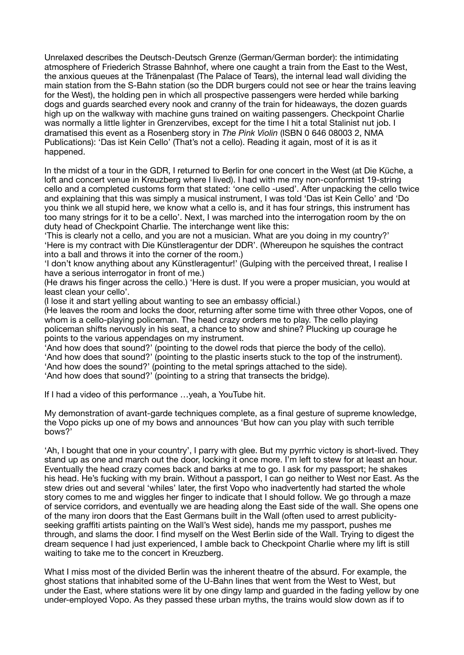Unrelaxed describes the Deutsch-Deutsch Grenze (German/German border): the intimidating atmosphere of Friederich Strasse Bahnhof, where one caught a train from the East to the West, the anxious queues at the Tränenpalast (The Palace of Tears), the internal lead wall dividing the main station from the S-Bahn station (so the DDR burgers could not see or hear the trains leaving for the West), the holding pen in which all prospective passengers were herded while barking dogs and guards searched every nook and cranny of the train for hideaways, the dozen guards high up on the walkway with machine guns trained on waiting passengers. Checkpoint Charlie was normally a little lighter in Grenzervibes, except for the time I hit a total Stalinist nut job. I dramatised this event as a Rosenberg story in *The Pink Violin* (ISBN 0 646 08003 2, NMA Publications): 'Das ist Kein Cello' (That's not a cello). Reading it again, most of it is as it happened.

In the midst of a tour in the GDR, I returned to Berlin for one concert in the West (at Die Küche, a loft and concert venue in Kreuzberg where I lived). I had with me my non-conformist 19-string cello and a completed customs form that stated: 'one cello -used'. After unpacking the cello twice and explaining that this was simply a musical instrument, I was told 'Das ist Kein Cello' and 'Do you think we all stupid here, we know what a cello is, and it has four strings, this instrument has too many strings for it to be a cello'. Next, I was marched into the interrogation room by the on duty head of Checkpoint Charlie. The interchange went like this:

'This is clearly not a cello, and you are not a musician. What are you doing in my country?' 'Here is my contract with Die Künstleragentur der DDR'. (Whereupon he squishes the contract into a ball and throws it into the corner of the room.)

'I don't know anything about any Künstleragentur!' (Gulping with the perceived threat, I realise I have a serious interrogator in front of me.)

(He draws his finger across the cello.) 'Here is dust. If you were a proper musician, you would at least clean your cello'.

(I lose it and start yelling about wanting to see an embassy official.)

(He leaves the room and locks the door, returning after some time with three other Vopos, one of whom is a cello-playing policeman. The head crazy orders me to play. The cello playing policeman shifts nervously in his seat, a chance to show and shine? Plucking up courage he points to the various appendages on my instrument.

'And how does that sound?' (pointing to the dowel rods that pierce the body of the cello). 'And how does that sound?' (pointing to the plastic inserts stuck to the top of the instrument). 'And how does the sound?' (pointing to the metal springs attached to the side). 'And how does that sound?' (pointing to a string that transects the bridge).

If I had a video of this performance …yeah, a YouTube hit.

My demonstration of avant-garde techniques complete, as a final gesture of supreme knowledge, the Vopo picks up one of my bows and announces 'But how can you play with such terrible bows?'

'Ah, I bought that one in your country', I parry with glee. But my pyrrhic victory is short-lived. They stand up as one and march out the door, locking it once more. I'm left to stew for at least an hour. Eventually the head crazy comes back and barks at me to go. I ask for my passport; he shakes his head. He's fucking with my brain. Without a passport, I can go neither to West nor East. As the stew dries out and several 'whiles' later, the first Vopo who inadvertently had started the whole story comes to me and wiggles her finger to indicate that I should follow. We go through a maze of service corridors, and eventually we are heading along the East side of the wall. She opens one of the many iron doors that the East Germans built in the Wall (often used to arrest publicityseeking graffiti artists painting on the Wall's West side), hands me my passport, pushes me through, and slams the door. I find myself on the West Berlin side of the Wall. Trying to digest the dream sequence I had just experienced, I amble back to Checkpoint Charlie where my lift is still waiting to take me to the concert in Kreuzberg.

What I miss most of the divided Berlin was the inherent theatre of the absurd. For example, the ghost stations that inhabited some of the U-Bahn lines that went from the West to West, but under the East, where stations were lit by one dingy lamp and guarded in the fading yellow by one under-employed Vopo. As they passed these urban myths, the trains would slow down as if to